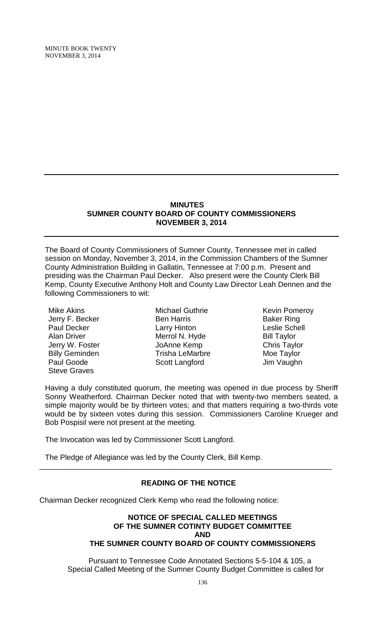MINUTE BOOK TWENTY NOVEMBER 3, 2014

#### **MINUTES SUMNER COUNTY BOARD OF COUNTY COMMISSIONERS NOVEMBER 3, 2014**

The Board of County Commissioners of Sumner County, Tennessee met in called session on Monday, November 3, 2014, in the Commission Chambers of the Sumner County Administration Building in Gallatin, Tennessee at 7:00 p.m. Present and presiding was the Chairman Paul Decker. Also present were the County Clerk Bill Kemp, County Executive Anthony Holt and County Law Director Leah Dennen and the following Commissioners to wit:

Mike Akins Jerry F. Becker Paul Decker Alan Driver Jerry W. Foster Billy Geminden Paul Goode Steve Graves

Michael Guthrie Ben Harris Larry Hinton Merrol N. Hyde JoAnne Kemp Trisha LeMarbre Scott Langford

Kevin Pomeroy Baker Ring Leslie Schell Bill Taylor Chris Taylor Moe Taylor Jim Vaughn

Having a duly constituted quorum, the meeting was opened in due process by Sheriff Sonny Weatherford. Chairman Decker noted that with twenty-two members seated, a simple majority would be by thirteen votes; and that matters requiring a two-thirds vote would be by sixteen votes during this session. Commissioners Caroline Krueger and Bob Pospisil were not present at the meeting.

The Invocation was led by Commissioner Scott Langford.

The Pledge of Allegiance was led by the County Clerk, Bill Kemp.

# **READING OF THE NOTICE**

\_\_\_\_\_\_\_\_\_\_\_\_\_\_\_\_\_\_\_\_\_\_\_\_\_\_\_\_\_\_\_\_\_\_\_\_\_\_\_\_\_\_\_\_\_\_\_\_\_\_\_\_\_\_\_\_\_\_\_\_\_\_\_\_\_\_\_\_\_\_

Chairman Decker recognized Clerk Kemp who read the following notice:

#### **NOTICE OF SPECIAL CALLED MEETINGS OF THE SUMNER COTINTY BUDGET COMMITTEE AND THE SUMNER COUNTY BOARD OF COUNTY COMMISSIONERS**

 Pursuant to Tennessee Code Annotated Sections 5-5-104 & 105, a Special Called Meeting of the Sumner County Budget Committee is called for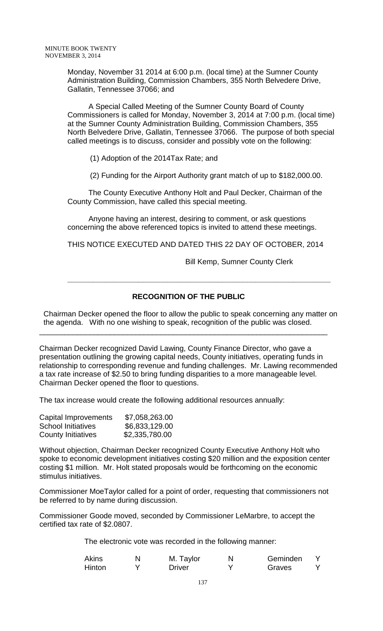Monday, November 31 2014 at 6:00 p.m. (local time) at the Sumner County Administration Building, Commission Chambers, 355 North Belvedere Drive, Gallatin, Tennessee 37066; and

 A Special Called Meeting of the Sumner County Board of County Commissioners is called for Monday, November 3, 2014 at 7:00 p.m. (local time) at the Sumner County Administration Building, Commission Chambers, 355 North Belvedere Drive, Gallatin, Tennessee 37066. The purpose of both special called meetings is to discuss, consider and possibly vote on the following:

(1) Adoption of the 2014Tax Rate; and

(2) Funding for the Airport Authority grant match of up to \$182,000.00.

 The County Executive Anthony Holt and Paul Decker, Chairman of the County Commission, have called this special meeting.

 Anyone having an interest, desiring to comment, or ask questions concerning the above referenced topics is invited to attend these meetings.

THIS NOTICE EXECUTED AND DATED THIS 22 DAY OF OCTOBER, 2014

**\_\_\_\_\_\_\_\_\_\_\_\_\_\_\_\_\_\_\_\_\_\_\_\_\_\_\_\_\_\_\_\_\_\_\_\_\_\_\_\_\_\_\_\_\_\_\_\_\_\_\_\_\_\_\_\_\_\_\_\_\_\_\_**

Bill Kemp, Sumner County Clerk

# **RECOGNITION OF THE PUBLIC**

 Chairman Decker opened the floor to allow the public to speak concerning any matter on the agenda. With no one wishing to speak, recognition of the public was closed.

\_\_\_\_\_\_\_\_\_\_\_\_\_\_\_\_\_\_\_\_\_\_\_\_\_\_\_\_\_\_\_\_\_\_\_\_\_\_\_\_\_\_\_\_\_\_\_\_\_\_\_\_\_\_\_\_\_\_\_\_\_\_\_\_\_\_\_\_\_

Chairman Decker recognized David Lawing, County Finance Director, who gave a presentation outlining the growing capital needs, County initiatives, operating funds in relationship to corresponding revenue and funding challenges. Mr. Lawing recommended a tax rate increase of \$2.50 to bring funding disparities to a more manageable level. Chairman Decker opened the floor to questions.

The tax increase would create the following additional resources annually:

| Capital Improvements      | \$7,058,263.00 |
|---------------------------|----------------|
| <b>School Initiatives</b> | \$6,833,129.00 |
| <b>County Initiatives</b> | \$2,335,780.00 |

Without objection, Chairman Decker recognized County Executive Anthony Holt who spoke to economic development initiatives costing \$20 million and the exposition center costing \$1 million. Mr. Holt stated proposals would be forthcoming on the economic stimulus initiatives.

Commissioner MoeTaylor called for a point of order, requesting that commissioners not be referred to by name during discussion.

Commissioner Goode moved, seconded by Commissioner LeMarbre, to accept the certified tax rate of \$2.0807.

The electronic vote was recorded in the following manner:

| <b>Akins</b> | M. Taylor     | N | Geminden |  |
|--------------|---------------|---|----------|--|
| Hinton       | <b>Driver</b> |   | Graves   |  |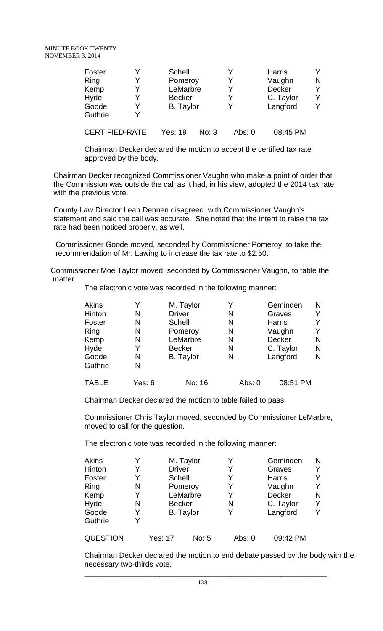| Foster                |   | Schell           |       |        | <b>Harris</b> |   |
|-----------------------|---|------------------|-------|--------|---------------|---|
| Ring                  | Y | Pomeroy          |       |        | Vaughn        | N |
| Kemp                  | Y | LeMarbre         |       | v      | Decker        |   |
| Hyde                  |   | <b>Becker</b>    |       | v      | C. Taylor     |   |
| Goode                 |   | <b>B.</b> Taylor |       |        | Langford      | v |
| Guthrie               |   |                  |       |        |               |   |
| <b>CERTIFIED-RATE</b> |   | Yes: 19          | No: 3 | Abs: 0 | 08:45 PM      |   |

Chairman Decker declared the motion to accept the certified tax rate approved by the body.

Chairman Decker recognized Commissioner Vaughn who make a point of order that the Commission was outside the call as it had, in his view, adopted the 2014 tax rate with the previous vote.

County Law Director Leah Dennen disagreed with Commissioner Vaughn's statement and said the call was accurate. She noted that the intent to raise the tax rate had been noticed properly, as well.

Commissioner Goode moved, seconded by Commissioner Pomeroy, to take the recommendation of Mr. Lawing to increase the tax rate to \$2.50.

Commissioner Moe Taylor moved, seconded by Commissioner Vaughn, to table the matter.

The electronic vote was recorded in the following manner:

|   | M. Taylor        |   | Geminden      | N |
|---|------------------|---|---------------|---|
| N | <b>Driver</b>    | N | Graves        |   |
| N | <b>Schell</b>    | N | <b>Harris</b> |   |
| N | Pomeroy          | N | Vaughn        |   |
| N | LeMarbre         | N | Decker        | N |
| Y | <b>Becker</b>    | N | C. Taylor     | N |
| N | <b>B.</b> Taylor | N | Langford      | N |
| N |                  |   |               |   |
|   |                  |   |               |   |
|   |                  |   |               |   |

TABLE Yes: 6 No: 16 Abs: 0 08:51 PM

Chairman Decker declared the motion to table failed to pass.

Commissioner Chris Taylor moved, seconded by Commissioner LeMarbre, moved to call for the question.

The electronic vote was recorded in the following manner:

| <b>Akins</b>    | Y |               | M. Taylor        | Y      | Geminden      | N |
|-----------------|---|---------------|------------------|--------|---------------|---|
| Hinton          | Y | <b>Driver</b> |                  | Y      | Graves        |   |
| Foster          | Y | Schell        |                  | Y      | <b>Harris</b> |   |
| Ring            | N |               | Pomeroy          | Y      | Vaughn        | Y |
| Kemp            | Y |               | LeMarbre         | Y      | Decker        | N |
| Hyde            | N | <b>Becker</b> |                  | N      | C. Taylor     |   |
| Goode           | Y |               | <b>B.</b> Taylor | Y      | Langford      | Y |
| Guthrie         | Y |               |                  |        |               |   |
| <b>QUESTION</b> |   | Yes: 17       | No: 5            | Abs: 0 | 09:42 PM      |   |

Chairman Decker declared the motion to end debate passed by the body with the necessary two-thirds vote.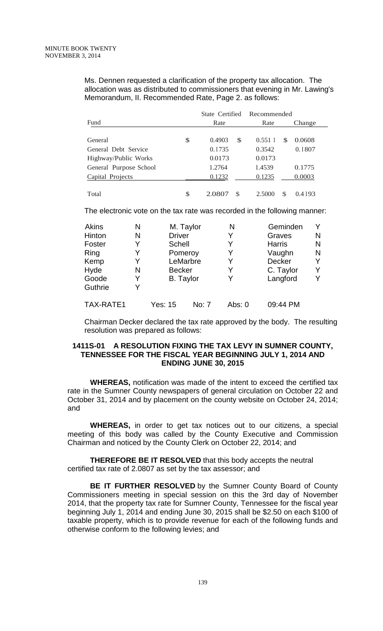Ms. Dennen requested a clarification of the property tax allocation. The allocation was as distributed to commissioners that evening in Mr. Lawing's Memorandum, II. Recommended Rate, Page 2. as follows:

|                        |    | State Certified<br>Rate |               | Recommended |               |
|------------------------|----|-------------------------|---------------|-------------|---------------|
| Fund                   |    |                         |               | Rate        | Change        |
|                        |    |                         |               |             |               |
| General                | \$ | 0.4903                  | <sup>\$</sup> | $0.551$ I   | 0.0608<br>\$. |
| General Debt Service   |    | 0.1735                  |               | 0.3542      | 0.1807        |
| Highway/Public Works   |    | 0.0173                  |               | 0.0173      |               |
| General Purpose School |    | 1.2764                  |               | 1.4539      | 0.1775        |
| Capital Projects       |    | 0.1232                  |               | 0.1235      | 0.0003        |
| Total                  | \$ | 2.0807                  | <sup>\$</sup> | 2.5000      | S<br>0.4 193  |

The electronic vote on the tax rate was recorded in the following manner:

| <b>Akins</b> | N |                  | M. Taylor | N        | Geminden      | Y |
|--------------|---|------------------|-----------|----------|---------------|---|
| Hinton       | N | <b>Driver</b>    |           | Y        | Graves        | N |
| Foster       | V | Schell           |           | Y        | <b>Harris</b> | N |
| Ring         | Y | Pomeroy          |           | Y        | Vaughn        | N |
| Kemp         | V |                  | LeMarbre  | Y        | <b>Decker</b> | Y |
| Hyde         | N | <b>Becker</b>    |           | Y        | C. Taylor     | Y |
| Goode        | Y | <b>B.</b> Taylor |           | Y        | Langford      | Υ |
| Guthrie      |   |                  |           |          |               |   |
| TAX-RATE1    |   | Yes: 15          | No: 7     | Abs: $0$ | 09:44 PM      |   |

Chairman Decker declared the tax rate approved by the body. The resulting resolution was prepared as follows:

### **1411S-01 A RESOLUTION FIXING THE TAX LEVY IN SUMNER COUNTY, TENNESSEE FOR THE FISCAL YEAR BEGINNING JULY 1, 2014 AND ENDING JUNE 30, 2015**

**WHEREAS,** notification was made of the intent to exceed the certified tax rate in the Sumner County newspapers of general circulation on October 22 and October 31, 2014 and by placement on the county website on October 24, 2014; and

**WHEREAS,** in order to get tax notices out to our citizens, a special meeting of this body was called by the County Executive and Commission Chairman and noticed by the County Clerk on October 22, 2014; and

**THEREFORE BE IT RESOLVED** that this body accepts the neutral certified tax rate of 2.0807 as set by the tax assessor; and

**BE IT FURTHER RESOLVED** by the Sumner County Board of County Commissioners meeting in special session on this the 3rd day of November 2014, that the property tax rate for Sumner County, Tennessee for the fiscal year beginning July 1, 2014 and ending June 30, 2015 shall be \$2.50 on each \$100 of taxable property, which is to provide revenue for each of the following funds and otherwise conform to the following levies; and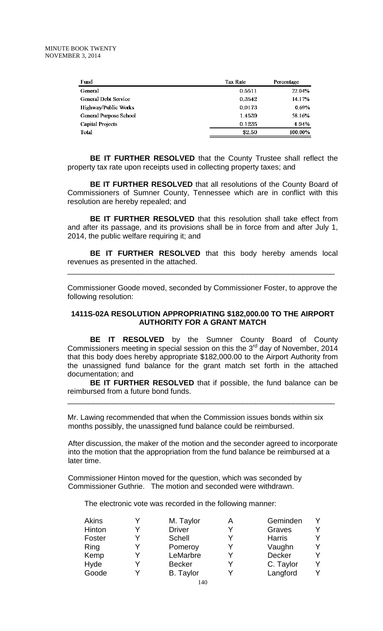| Fund                        | <b>Tax Rate</b> | Percentage |
|-----------------------------|-----------------|------------|
| <b>General</b>              | 0.5511          | 22.04%     |
| <b>General Debt Service</b> | 0.3542          | 14.17%     |
| <b>Highway/Public Works</b> | 0.0173          | 0.69%      |
| General Purpose School      | 1.4539          | 58.16%     |
| <b>Capital Projects</b>     | 0.1235          | 4.94%      |
| Total                       | \$2.50          | 100.00%    |

**BE IT FURTHER RESOLVED** that the County Trustee shall reflect the property tax rate upon receipts used in collecting property taxes; and

**BE IT FURTHER RESOLVED** that all resolutions of the County Board of Commissioners of Sumner County, Tennessee which are in conflict with this resolution are hereby repealed; and

**BE IT FURTHER RESOLVED** that this resolution shall take effect from and after its passage, and its provisions shall be in force from and after July 1, 2014, the public welfare requiring it; and

**BE IT FURTHER RESOLVED** that this body hereby amends local revenues as presented in the attached.

\_\_\_\_\_\_\_\_\_\_\_\_\_\_\_\_\_\_\_\_\_\_\_\_\_\_\_\_\_\_\_\_\_\_\_\_\_\_\_\_\_\_\_\_\_\_\_\_\_\_\_\_\_\_\_\_\_\_\_\_\_\_\_\_

Commissioner Goode moved, seconded by Commissioner Foster, to approve the following resolution:

#### **1411S-02A RESOLUTION APPROPRIATING \$182,000.00 TO THE AIRPORT AUTHORITY FOR A GRANT MATCH**

**BE IT RESOLVED** by the Sumner County Board of County Commissioners meeting in special session on this the  $3<sup>rd</sup>$  day of November, 2014 that this body does hereby appropriate \$182,000.00 to the Airport Authority from the unassigned fund balance for the grant match set forth in the attached documentation; and

**BE IT FURTHER RESOLVED** that if possible, the fund balance can be reimbursed from a future bond funds.

\_\_\_\_\_\_\_\_\_\_\_\_\_\_\_\_\_\_\_\_\_\_\_\_\_\_\_\_\_\_\_\_\_\_\_\_\_\_\_\_\_\_\_\_\_\_\_\_\_\_\_\_\_\_\_\_\_\_\_\_\_\_\_\_

Mr. Lawing recommended that when the Commission issues bonds within six months possibly, the unassigned fund balance could be reimbursed.

After discussion, the maker of the motion and the seconder agreed to incorporate into the motion that the appropriation from the fund balance be reimbursed at a later time.

Commissioner Hinton moved for the question, which was seconded by Commissioner Guthrie. The motion and seconded were withdrawn.

The electronic vote was recorded in the following manner:

| <b>Akins</b> | M. Taylor        | А | Geminden      |   |
|--------------|------------------|---|---------------|---|
| Hinton       | <b>Driver</b>    | V | Graves        |   |
| Foster       | Schell           | v | <b>Harris</b> |   |
| Ring         | Pomeroy          |   | Vaughn        | Y |
| Kemp         | LeMarbre         |   | <b>Decker</b> | Y |
| Hyde         | <b>Becker</b>    |   | C. Taylor     | Y |
| Goode        | <b>B.</b> Taylor |   | Langford      | v |